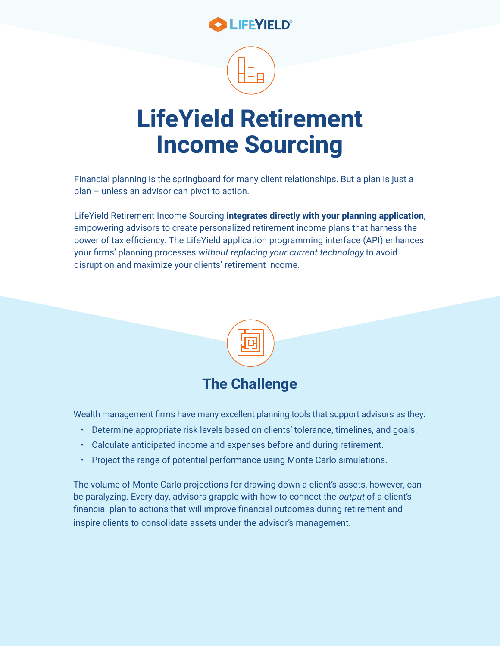

## **LifeYield Retirement Income Sourcing**

Financial planning is the springboard for many client relationships. But a plan is just a plan – unless an advisor can pivot to action.

LifeYield Retirement Income Sourcing **integrates directly with your planning application**, empowering advisors to create personalized retirement income plans that harness the power of tax efficiency. The LifeYield application programming interface (API) enhances your firms' planning processes without replacing your current technology to avoid disruption and maximize your clients' retirement income.



Wealth management firms have many excellent planning tools that support advisors as they:

- Determine appropriate risk levels based on clients' tolerance, timelines, and goals.
- Calculate anticipated income and expenses before and during retirement.
- Project the range of potential performance using Monte Carlo simulations.

The volume of Monte Carlo projections for drawing down a client's assets, however, can be paralyzing. Every day, advisors grapple with how to connect the *output* of a client's financial plan to actions that will improve financial outcomes during retirement and inspire clients to consolidate assets under the advisor's management.